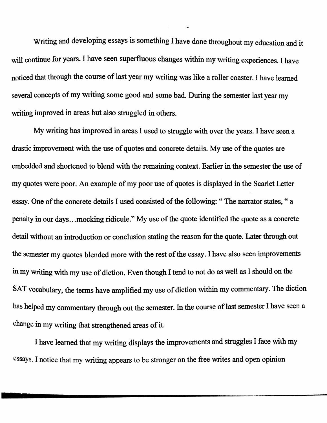Writing and developing essays is something I have done throughout my education and it will continue for years. I have seen superfluous changes within my writing experiences. I have noticed that through the course of last year my writing was like a roller coaster. I have learned several concepts of my writing some good and some bad. During the semester last year my writing improved in areas but also struggled in others.

My writing has improved in areas I used to struggle with over the years. I have seen a drastic improvement with the use of quotes and concrete details. My use of the quotes are embedded and shortened to blend with the remaining context. Earlier in the semester the use of my quotes were poor. An example of my poor use of quotes is displayed in the Scarlet Letter essay. One of the concrete details I used consisted of the following: "The narrator states, " a penalty in our days... mocking ridicule." My use of the quote identified the quote as a concrete detail without an introduction or conclusion stating the reason for the quote. Later through out the semester my quotes blended more with the rest of the essay. I have also seen improvements in my writing with my use of diction. Even though I tend to not do as well as I should on the SAT vocabulary, the terms have amplified my use of diction within my commentary. The diction has helped my commentary through out the semester. In the course of last semester I have seen a change in my writing that strengthened areas of it.

I have learned that my writing displays the improvements and struggles I face with my essays. I notice that my writing appears to be stronger on the free writes and open opinion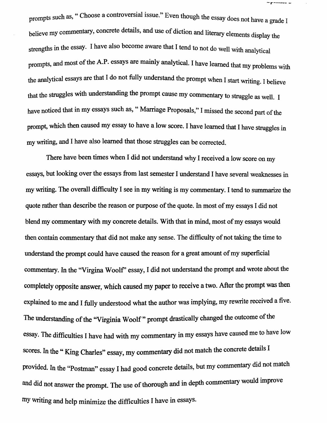prompts such as, " Choose a controversial issue." Even though the essay does not have a grade I believe my commentary, concrete details, and use of diction and literary elements display the strengths in the essay. I have also become aware that I tend to not do well with analytical prompts, and most of the A.P. essays are mainly analytical. I have learned that my problems with the analytical essays are that I do not fully understand the prompt when I start writing. 1believe that the struggles with understanding the prompt cause my commentary to struggle as well. 1 have noticed that in my essays such as, " Marriage Proposals," I missed the second part of the prompt, which then caused my essay to have a low score. I have learned that I have struggles in my writing, and I have also learned that those struggles can be corrected.

-r----

There have been times when I did not understand why I received a low score on my essays, but looking over the essays from last semester I understand I have several weaknesses in my writing. The overall difficulty I see in my writing is my commentary. I tend to summarize the quote rather than describe the reason or purpose of the quote. In most of my essays I did not blend my commentary with my concrete details. With that in mind, most of my essays would then contain commentary that did not make any sense. The difficulty of not taking the time to understand the prompt could have caused the reason for a great amount of my superficial commentary. In the "Virgina Woolf' essay, I did not understand the prompt and wrote about the completely opposite answer, which caused my paper to receive a two. After the prompt was then explained to me and I fully understood what the author was implying, my rewrite received a five. The understanding of the "Virginia Woolf" prompt drastically changed the outcome of the essay. The difficulties I have had with my commentary in my essays have caused me to have low scores. In the " King Charles" essay, my commentary did not match the concrete details I provided. In the "Postman" essay I had good concrete details, but my commentary did not match and did not answer the prompt. The use of thorough and in depth commentary would improve my writing and help minimize the difficulties I have in essays.